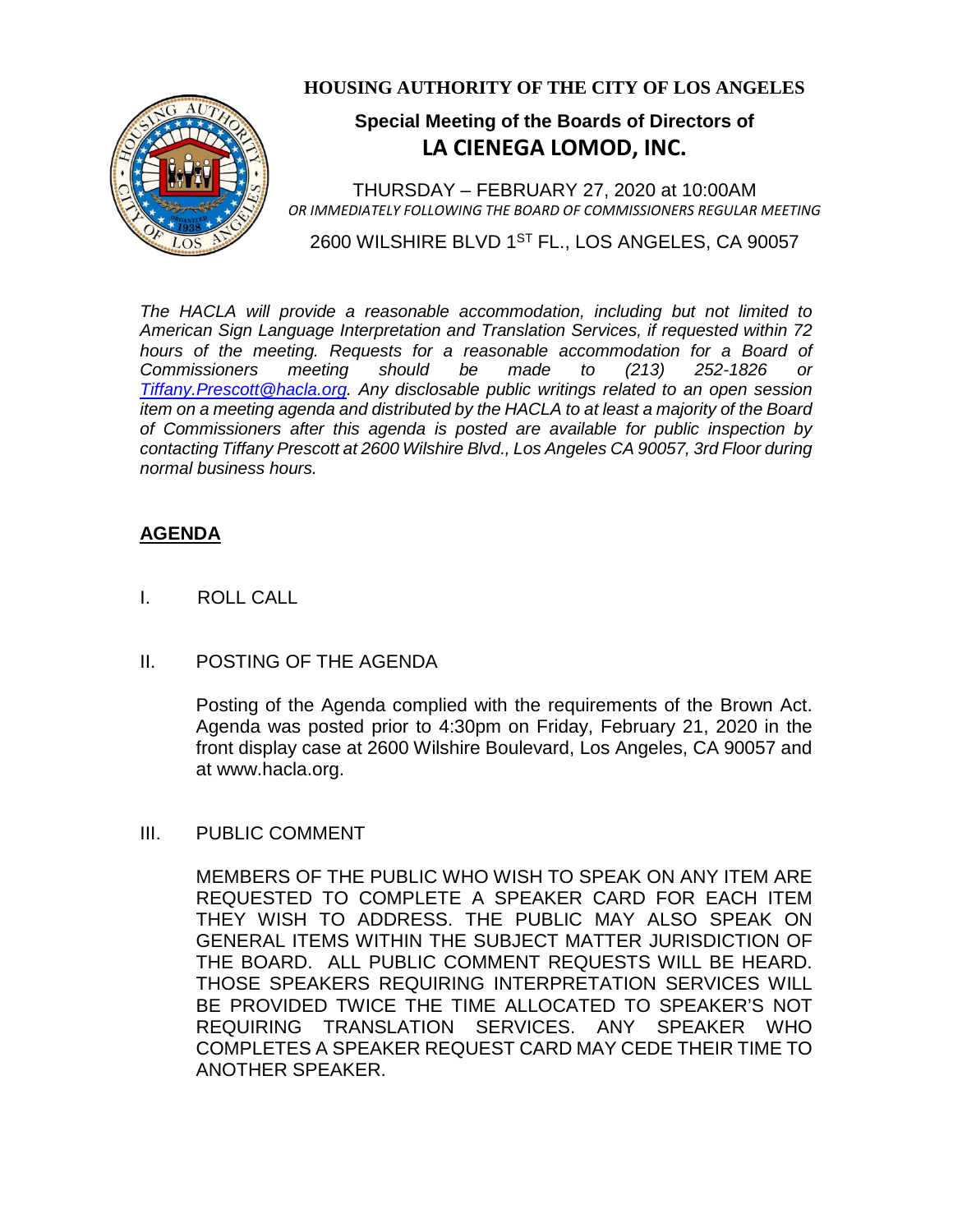

### **HOUSING AUTHORITY OF THE CITY OF LOS ANGELES**

# **Special Meeting of the Boards of Directors of LA CIENEGA LOMOD, INC.**

THURSDAY – FEBRUARY 27, 2020 at 10:00AM *OR IMMEDIATELY FOLLOWING THE BOARD OF COMMISSIONERS REGULAR MEETING*

2600 WILSHIRE BLVD 1<sup>ST</sup> FL., LOS ANGELES, CA 90057

*The HACLA will provide a reasonable accommodation, including but not limited to American Sign Language Interpretation and Translation Services, if requested within 72*  hours of the meeting. Requests for a reasonable accommodation for a Board of *Commissioners meeting should be made to (213) 252-1826 or Tiffany.Prescott@hacla.org. Any disclosable public writings related to an open session item on a meeting agenda and distributed by the HACLA to at least a majority of the Board of Commissioners after this agenda is posted are available for public inspection by contacting Tiffany Prescott at 2600 Wilshire Blvd., Los Angeles CA 90057, 3rd Floor during normal business hours.*

## **AGENDA**

I. ROLL CALL

#### II. POSTING OF THE AGENDA

Posting of the Agenda complied with the requirements of the Brown Act. Agenda was posted prior to 4:30pm on Friday, February 21, 2020 in the front display case at 2600 Wilshire Boulevard, Los Angeles, CA 90057 and at [www.hacla.org.](http://www.hacla.org/)

#### III. PUBLIC COMMENT

MEMBERS OF THE PUBLIC WHO WISH TO SPEAK ON ANY ITEM ARE REQUESTED TO COMPLETE A SPEAKER CARD FOR EACH ITEM THEY WISH TO ADDRESS. THE PUBLIC MAY ALSO SPEAK ON GENERAL ITEMS WITHIN THE SUBJECT MATTER JURISDICTION OF THE BOARD. ALL PUBLIC COMMENT REQUESTS WILL BE HEARD. THOSE SPEAKERS REQUIRING INTERPRETATION SERVICES WILL BE PROVIDED TWICE THE TIME ALLOCATED TO SPEAKER'S NOT REQUIRING TRANSLATION SERVICES. ANY SPEAKER WHO COMPLETES A SPEAKER REQUEST CARD MAY CEDE THEIR TIME TO ANOTHER SPEAKER.